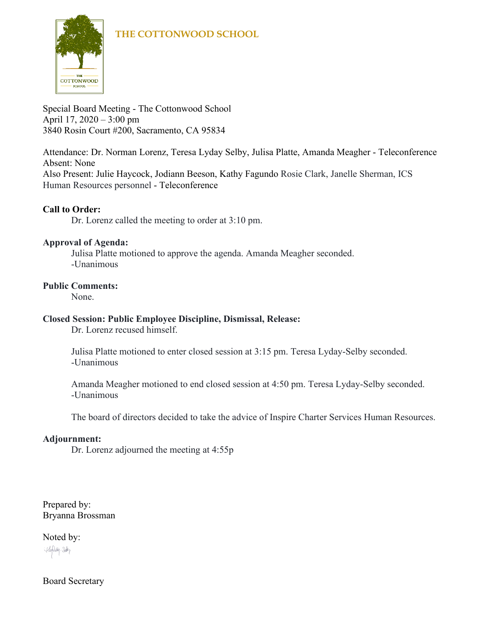### **THE COTTONWOOD SCHOOL**



Special Board Meeting - The Cottonwood School April 17, 2020 – 3:00 pm 3840 Rosin Court #200, Sacramento, CA 95834

Attendance: Dr. Norman Lorenz, Teresa Lyday Selby, Julisa Platte, Amanda Meagher - Teleconference Absent: None Also Present: Julie Haycock, Jodiann Beeson, Kathy Fagundo Rosie Clark, Janelle Sherman, ICS

Human Resources personnel - Teleconference

#### **Call to Order:**

Dr. Lorenz called the meeting to order at 3:10 pm.

#### **Approval of Agenda:**

Julisa Platte motioned to approve the agenda. Amanda Meagher seconded. -Unanimous

#### **Public Comments:**

None.

#### **Closed Session: Public Employee Discipline, Dismissal, Release:**

Dr. Lorenz recused himself.

Julisa Platte motioned to enter closed session at 3:15 pm. Teresa Lyday-Selby seconded. -Unanimous

Amanda Meagher motioned to end closed session at 4:50 pm. Teresa Lyday-Selby seconded. -Unanimous

The board of directors decided to take the advice of Inspire Charter Services Human Resources.

#### **Adjournment:**

Dr. Lorenz adjourned the meeting at 4:55p

Prepared by: Bryanna Brossman

Noted by: Hurley-Soby

Board Secretary